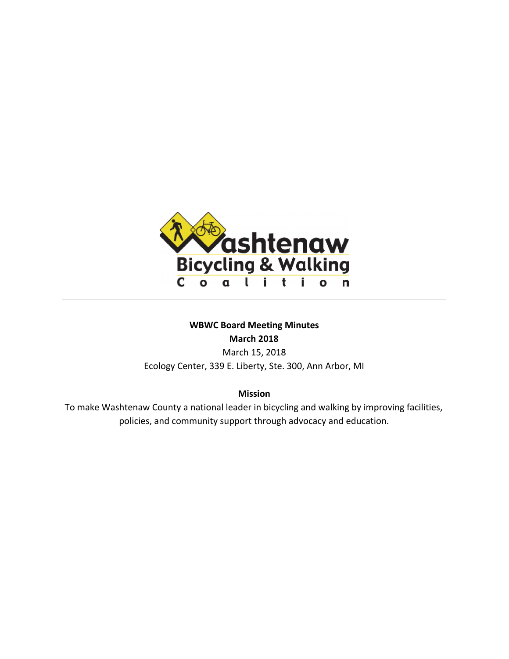

# **WBWC Board Meeting Minutes March 2018**

March 15, 2018 Ecology Center, 339 E. Liberty, Ste. 300, Ann Arbor, MI

**Mission**

To make Washtenaw County a national leader in bicycling and walking by improving facilities, policies, and community support through advocacy and education.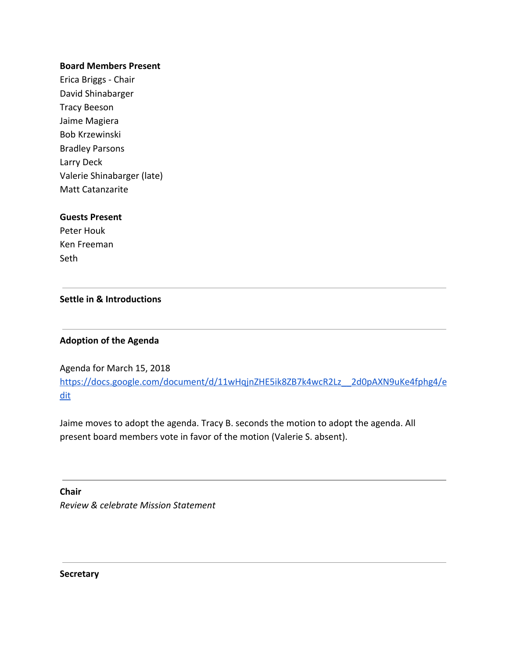#### **Board Members Present**

Erica Briggs - Chair David Shinabarger Tracy Beeson Jaime Magiera Bob Krzewinski Bradley Parsons Larry Deck Valerie Shinabarger (late) Matt Catanzarite

#### **Guests Present**

Peter Houk Ken Freeman Seth

### **Settle in & Introductions**

### **Adoption of the Agenda**

Agenda for March 15, 2018 [https://docs.google.com/document/d/11wHqjnZHE5ik8ZB7k4wcR2Lz\\_\\_2d0pAXN9uKe4fphg4/e](https://docs.google.com/document/d/11wHqjnZHE5ik8ZB7k4wcR2Lz__2d0pAXN9uKe4fphg4/edit) [dit](https://docs.google.com/document/d/11wHqjnZHE5ik8ZB7k4wcR2Lz__2d0pAXN9uKe4fphg4/edit)

Jaime moves to adopt the agenda. Tracy B. seconds the motion to adopt the agenda. All present board members vote in favor of the motion (Valerie S. absent).

**Chair** *Review & celebrate Mission Statement*

**Secretary**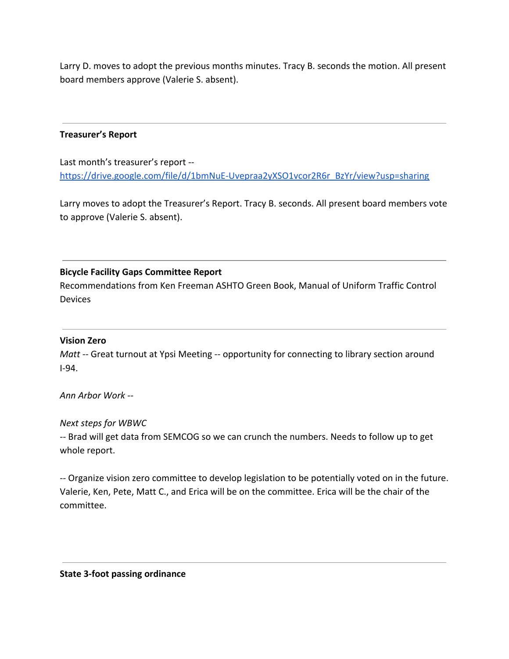Larry D. moves to adopt the previous months minutes. Tracy B. seconds the motion. All present board members approve (Valerie S. absent).

## **Treasurer's Report**

Last month's treasurer's report - [https://drive.google.com/file/d/1bmNuE-Uvepraa2yXSO1vcor2R6r\\_BzYr/view?usp=sharing](https://drive.google.com/file/d/1bmNuE-Uvepraa2yXSO1vcor2R6r_BzYr/view?usp=sharing)

Larry moves to adopt the Treasurer's Report. Tracy B. seconds. All present board members vote to approve (Valerie S. absent).

# **Bicycle Facility Gaps Committee Report**

Recommendations from Ken Freeman ASHTO Green Book, Manual of Uniform Traffic Control Devices

### **Vision Zero**

*Matt -- Great turnout at Ypsi Meeting -- opportunity for connecting to library section around* I-94.

*Ann Arbor Work --*

### *Next steps for WBWC*

*--* Brad will get data from SEMCOG so we can crunch the numbers. Needs to follow up to get whole report.

*--* Organize vision zero committee to develop legislation to be potentially voted on in the future. Valerie, Ken, Pete, Matt C., and Erica will be on the committee. Erica will be the chair of the committee.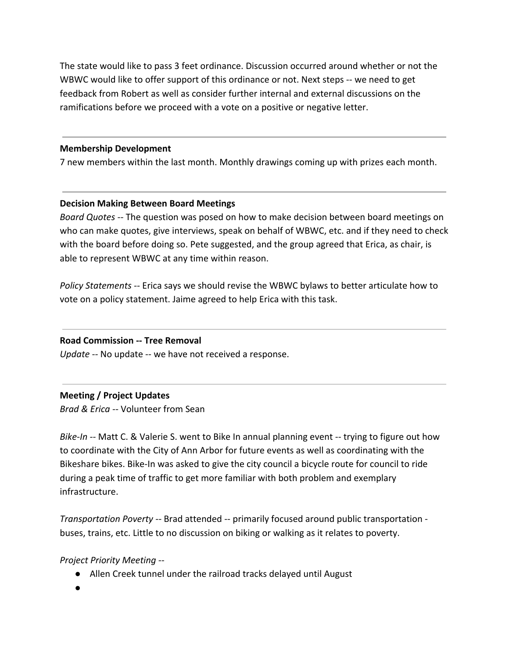The state would like to pass 3 feet ordinance. Discussion occurred around whether or not the WBWC would like to offer support of this ordinance or not. Next steps -- we need to get feedback from Robert as well as consider further internal and external discussions on the ramifications before we proceed with a vote on a positive or negative letter.

### **Membership Development**

7 new members within the last month. Monthly drawings coming up with prizes each month.

### **Decision Making Between Board Meetings**

*Board Quotes --* The question was posed on how to make decision between board meetings on who can make quotes, give interviews, speak on behalf of WBWC, etc. and if they need to check with the board before doing so. Pete suggested, and the group agreed that Erica, as chair, is able to represent WBWC at any time within reason.

*Policy Statements --* Erica says we should revise the WBWC bylaws to better articulate how to vote on a policy statement. Jaime agreed to help Erica with this task.

### **Road Commission -- Tree Removal**

*Update --* No update -- we have not received a response.

### **Meeting / Project Updates**

*Brad & Erica --* Volunteer from Sean

*Bike-In --* Matt C. & Valerie S. went to Bike In annual planning event -- trying to figure out how to coordinate with the City of Ann Arbor for future events as well as coordinating with the Bikeshare bikes. Bike-In was asked to give the city council a bicycle route for council to ride during a peak time of traffic to get more familiar with both problem and exemplary infrastructure.

*Transportation Poverty --* Brad attended -- primarily focused around public transportation buses, trains, etc. Little to no discussion on biking or walking as it relates to poverty.

# *Project Priority Meeting --*

- Allen Creek tunnel under the railroad tracks delayed until August
- ●